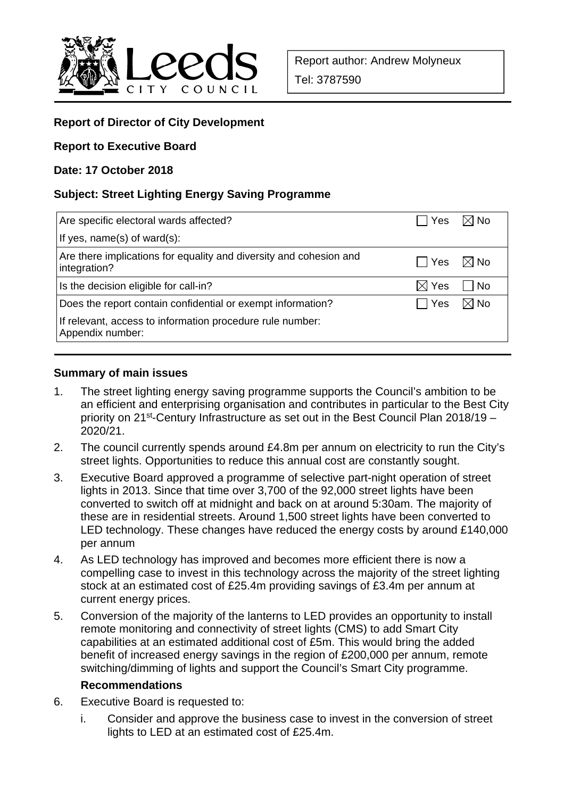

# **Report of Director of City Development**

#### **Report to Executive Board**

#### **Date: 17 October 2018**

# **Subject: Street Lighting Energy Saving Programme**

| Are specific electoral wards affected?                                             | $\Box$ Yes $\Box$ No |                |
|------------------------------------------------------------------------------------|----------------------|----------------|
| If yes, name(s) of ward(s):                                                        |                      |                |
| Are there implications for equality and diversity and cohesion and<br>integration? | $\Box$ Yes           | $\boxtimes$ No |
| Is the decision eligible for call-in?                                              | $\boxtimes$ Yes      | No             |
| Does the report contain confidential or exempt information?                        | i ¯ Yes              | $\boxtimes$ No |
| If relevant, access to information procedure rule number:<br>Appendix number:      |                      |                |

#### **Summary of main issues**

- 1. The street lighting energy saving programme supports the Council's ambition to be an efficient and enterprising organisation and contributes in particular to the Best City priority on 21<sup>st</sup>-Century Infrastructure as set out in the Best Council Plan 2018/19 – 2020/21.
- 2. The council currently spends around £4.8m per annum on electricity to run the City's street lights. Opportunities to reduce this annual cost are constantly sought.
- 3. Executive Board approved a programme of selective part-night operation of street lights in 2013. Since that time over 3,700 of the 92,000 street lights have been converted to switch off at midnight and back on at around 5:30am. The majority of these are in residential streets. Around 1,500 street lights have been converted to LED technology. These changes have reduced the energy costs by around £140,000 per annum
- 4. As LED technology has improved and becomes more efficient there is now a compelling case to invest in this technology across the majority of the street lighting stock at an estimated cost of £25.4m providing savings of £3.4m per annum at current energy prices.
- 5. Conversion of the majority of the lanterns to LED provides an opportunity to install remote monitoring and connectivity of street lights (CMS) to add Smart City capabilities at an estimated additional cost of £5m. This would bring the added benefit of increased energy savings in the region of £200,000 per annum, remote switching/dimming of lights and support the Council's Smart City programme.

#### **Recommendations**

- 6. Executive Board is requested to:
	- i. Consider and approve the business case to invest in the conversion of street lights to LED at an estimated cost of £25.4m.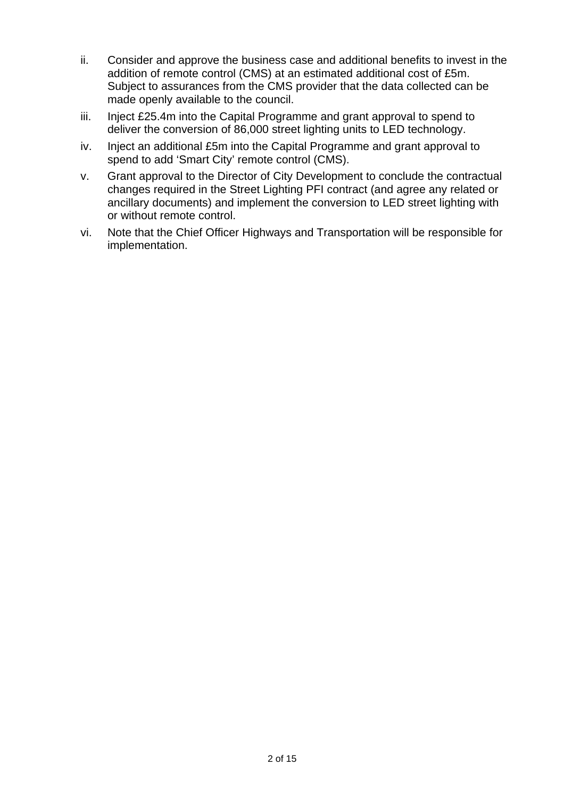- ii. Consider and approve the business case and additional benefits to invest in the addition of remote control (CMS) at an estimated additional cost of £5m. Subject to assurances from the CMS provider that the data collected can be made openly available to the council.
- iii. Inject £25.4m into the Capital Programme and grant approval to spend to deliver the conversion of 86,000 street lighting units to LED technology.
- iv. Inject an additional £5m into the Capital Programme and grant approval to spend to add 'Smart City' remote control (CMS).
- v. Grant approval to the Director of City Development to conclude the contractual changes required in the Street Lighting PFI contract (and agree any related or ancillary documents) and implement the conversion to LED street lighting with or without remote control.
- vi. Note that the Chief Officer Highways and Transportation will be responsible for implementation.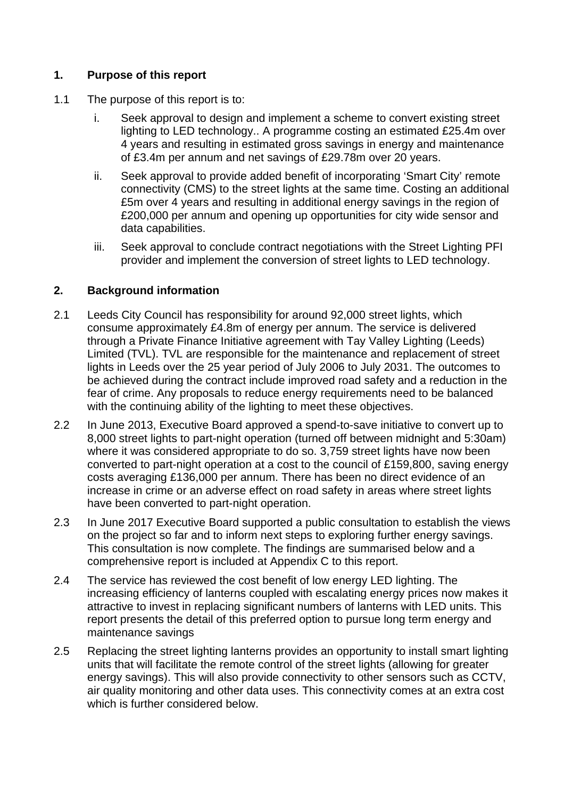# **1. Purpose of this report**

- 1.1 The purpose of this report is to:
	- i. Seek approval to design and implement a scheme to convert existing street lighting to LED technology.. A programme costing an estimated £25.4m over 4 years and resulting in estimated gross savings in energy and maintenance of £3.4m per annum and net savings of £29.78m over 20 years.
	- ii. Seek approval to provide added benefit of incorporating 'Smart City' remote connectivity (CMS) to the street lights at the same time. Costing an additional £5m over 4 years and resulting in additional energy savings in the region of £200,000 per annum and opening up opportunities for city wide sensor and data capabilities.
	- iii. Seek approval to conclude contract negotiations with the Street Lighting PFI provider and implement the conversion of street lights to LED technology.

### **2. Background information**

- 2.1 Leeds City Council has responsibility for around 92,000 street lights, which consume approximately £4.8m of energy per annum. The service is delivered through a Private Finance Initiative agreement with Tay Valley Lighting (Leeds) Limited (TVL). TVL are responsible for the maintenance and replacement of street lights in Leeds over the 25 year period of July 2006 to July 2031. The outcomes to be achieved during the contract include improved road safety and a reduction in the fear of crime. Any proposals to reduce energy requirements need to be balanced with the continuing ability of the lighting to meet these objectives.
- 2.2 In June 2013, Executive Board approved a spend-to-save initiative to convert up to 8,000 street lights to part-night operation (turned off between midnight and 5:30am) where it was considered appropriate to do so, 3,759 street lights have now been converted to part-night operation at a cost to the council of £159,800, saving energy costs averaging £136,000 per annum. There has been no direct evidence of an increase in crime or an adverse effect on road safety in areas where street lights have been converted to part-night operation.
- 2.3 In June 2017 Executive Board supported a public consultation to establish the views on the project so far and to inform next steps to exploring further energy savings. This consultation is now complete. The findings are summarised below and a comprehensive report is included at Appendix C to this report.
- 2.4 The service has reviewed the cost benefit of low energy LED lighting. The increasing efficiency of lanterns coupled with escalating energy prices now makes it attractive to invest in replacing significant numbers of lanterns with LED units. This report presents the detail of this preferred option to pursue long term energy and maintenance savings
- 2.5 Replacing the street lighting lanterns provides an opportunity to install smart lighting units that will facilitate the remote control of the street lights (allowing for greater energy savings). This will also provide connectivity to other sensors such as CCTV, air quality monitoring and other data uses. This connectivity comes at an extra cost which is further considered below.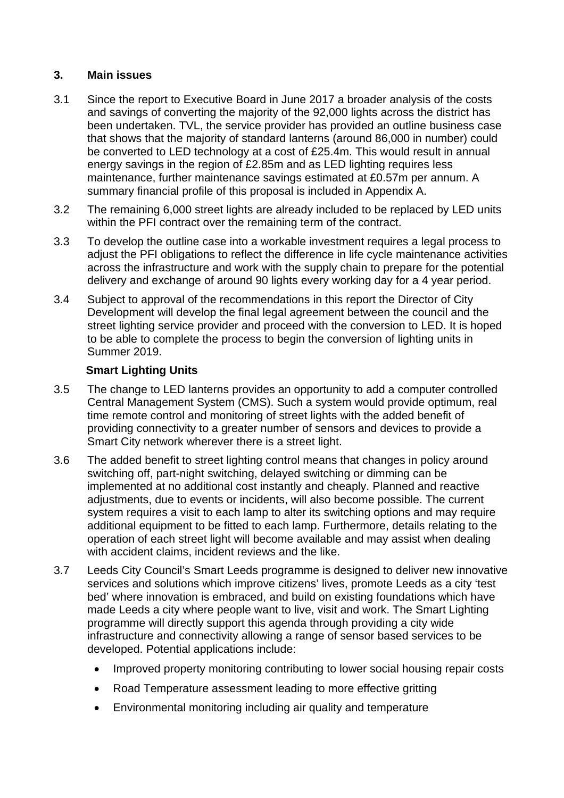# **3. Main issues**

- 3.1 Since the report to Executive Board in June 2017 a broader analysis of the costs and savings of converting the majority of the 92,000 lights across the district has been undertaken. TVL, the service provider has provided an outline business case that shows that the majority of standard lanterns (around 86,000 in number) could be converted to LED technology at a cost of £25.4m. This would result in annual energy savings in the region of £2.85m and as LED lighting requires less maintenance, further maintenance savings estimated at £0.57m per annum. A summary financial profile of this proposal is included in Appendix A.
- 3.2 The remaining 6,000 street lights are already included to be replaced by LED units within the PFI contract over the remaining term of the contract.
- 3.3 To develop the outline case into a workable investment requires a legal process to adjust the PFI obligations to reflect the difference in life cycle maintenance activities across the infrastructure and work with the supply chain to prepare for the potential delivery and exchange of around 90 lights every working day for a 4 year period.
- 3.4 Subject to approval of the recommendations in this report the Director of City Development will develop the final legal agreement between the council and the street lighting service provider and proceed with the conversion to LED. It is hoped to be able to complete the process to begin the conversion of lighting units in Summer 2019.

# **Smart Lighting Units**

- 3.5 The change to LED lanterns provides an opportunity to add a computer controlled Central Management System (CMS). Such a system would provide optimum, real time remote control and monitoring of street lights with the added benefit of providing connectivity to a greater number of sensors and devices to provide a Smart City network wherever there is a street light.
- 3.6 The added benefit to street lighting control means that changes in policy around switching off, part-night switching, delayed switching or dimming can be implemented at no additional cost instantly and cheaply. Planned and reactive adjustments, due to events or incidents, will also become possible. The current system requires a visit to each lamp to alter its switching options and may require additional equipment to be fitted to each lamp. Furthermore, details relating to the operation of each street light will become available and may assist when dealing with accident claims, incident reviews and the like.
- 3.7 Leeds City Council's Smart Leeds programme is designed to deliver new innovative services and solutions which improve citizens' lives, promote Leeds as a city 'test bed' where innovation is embraced, and build on existing foundations which have made Leeds a city where people want to live, visit and work. The Smart Lighting programme will directly support this agenda through providing a city wide infrastructure and connectivity allowing a range of sensor based services to be developed. Potential applications include:
	- Improved property monitoring contributing to lower social housing repair costs
	- Road Temperature assessment leading to more effective gritting
	- Environmental monitoring including air quality and temperature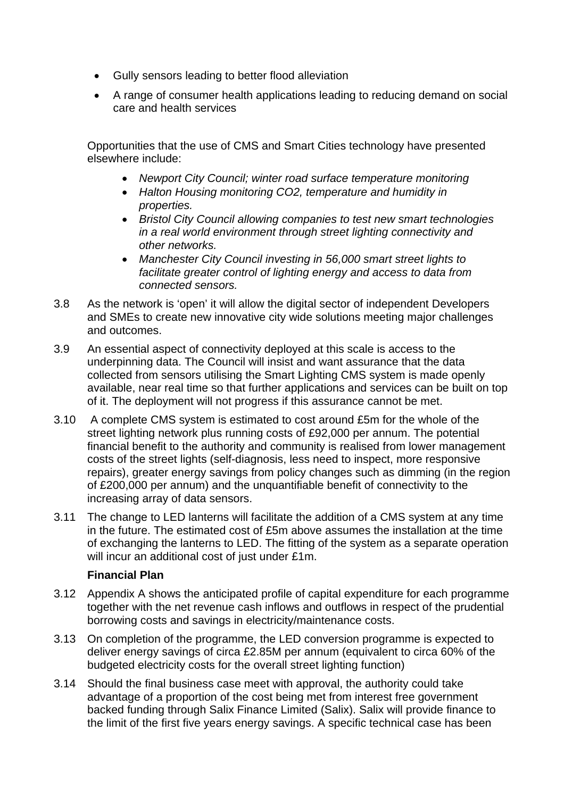- Gully sensors leading to better flood alleviation
- A range of consumer health applications leading to reducing demand on social care and health services

Opportunities that the use of CMS and Smart Cities technology have presented elsewhere include:

- *Newport City Council; winter road surface temperature monitoring*
- *Halton Housing monitoring CO2, temperature and humidity in properties.*
- *Bristol City Council allowing companies to test new smart technologies in a real world environment through street lighting connectivity and other networks.*
- *Manchester City Council investing in 56,000 smart street lights to facilitate greater control of lighting energy and access to data from connected sensors.*
- 3.8 As the network is 'open' it will allow the digital sector of independent Developers and SMEs to create new innovative city wide solutions meeting major challenges and outcomes.
- 3.9 An essential aspect of connectivity deployed at this scale is access to the underpinning data. The Council will insist and want assurance that the data collected from sensors utilising the Smart Lighting CMS system is made openly available, near real time so that further applications and services can be built on top of it. The deployment will not progress if this assurance cannot be met.
- 3.10 A complete CMS system is estimated to cost around £5m for the whole of the street lighting network plus running costs of £92,000 per annum. The potential financial benefit to the authority and community is realised from lower management costs of the street lights (self-diagnosis, less need to inspect, more responsive repairs), greater energy savings from policy changes such as dimming (in the region of £200,000 per annum) and the unquantifiable benefit of connectivity to the increasing array of data sensors.
- 3.11 The change to LED lanterns will facilitate the addition of a CMS system at any time in the future. The estimated cost of £5m above assumes the installation at the time of exchanging the lanterns to LED. The fitting of the system as a separate operation will incur an additional cost of just under £1m.

#### **Financial Plan**

- 3.12 Appendix A shows the anticipated profile of capital expenditure for each programme together with the net revenue cash inflows and outflows in respect of the prudential borrowing costs and savings in electricity/maintenance costs.
- 3.13 On completion of the programme, the LED conversion programme is expected to deliver energy savings of circa £2.85M per annum (equivalent to circa 60% of the budgeted electricity costs for the overall street lighting function)
- 3.14 Should the final business case meet with approval, the authority could take advantage of a proportion of the cost being met from interest free government backed funding through Salix Finance Limited (Salix). Salix will provide finance to the limit of the first five years energy savings. A specific technical case has been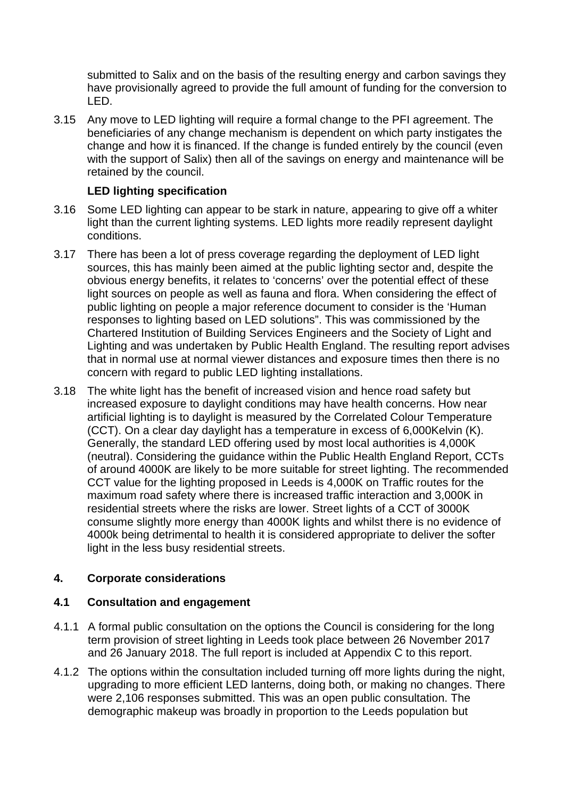submitted to Salix and on the basis of the resulting energy and carbon savings they have provisionally agreed to provide the full amount of funding for the conversion to LED.

3.15 Any move to LED lighting will require a formal change to the PFI agreement. The beneficiaries of any change mechanism is dependent on which party instigates the change and how it is financed. If the change is funded entirely by the council (even with the support of Salix) then all of the savings on energy and maintenance will be retained by the council.

### **LED lighting specification**

- 3.16 Some LED lighting can appear to be stark in nature, appearing to give off a whiter light than the current lighting systems. LED lights more readily represent daylight conditions.
- 3.17 There has been a lot of press coverage regarding the deployment of LED light sources, this has mainly been aimed at the public lighting sector and, despite the obvious energy benefits, it relates to 'concerns' over the potential effect of these light sources on people as well as fauna and flora. When considering the effect of public lighting on people a major reference document to consider is the 'Human responses to lighting based on LED solutions". This was commissioned by the Chartered Institution of Building Services Engineers and the Society of Light and Lighting and was undertaken by Public Health England. The resulting report advises that in normal use at normal viewer distances and exposure times then there is no concern with regard to public LED lighting installations.
- 3.18 The white light has the benefit of increased vision and hence road safety but increased exposure to daylight conditions may have health concerns. How near artificial lighting is to daylight is measured by the Correlated Colour Temperature (CCT). On a clear day daylight has a temperature in excess of 6,000Kelvin (K). Generally, the standard LED offering used by most local authorities is 4,000K (neutral). Considering the guidance within the Public Health England Report, CCTs of around 4000K are likely to be more suitable for street lighting. The recommended CCT value for the lighting proposed in Leeds is 4,000K on Traffic routes for the maximum road safety where there is increased traffic interaction and 3,000K in residential streets where the risks are lower. Street lights of a CCT of 3000K consume slightly more energy than 4000K lights and whilst there is no evidence of 4000k being detrimental to health it is considered appropriate to deliver the softer light in the less busy residential streets.

#### **4. Corporate considerations**

#### **4.1 Consultation and engagement**

- 4.1.1 A formal public consultation on the options the Council is considering for the long term provision of street lighting in Leeds took place between 26 November 2017 and 26 January 2018. The full report is included at Appendix C to this report.
- 4.1.2 The options within the consultation included turning off more lights during the night, upgrading to more efficient LED lanterns, doing both, or making no changes. There were 2,106 responses submitted. This was an open public consultation. The demographic makeup was broadly in proportion to the Leeds population but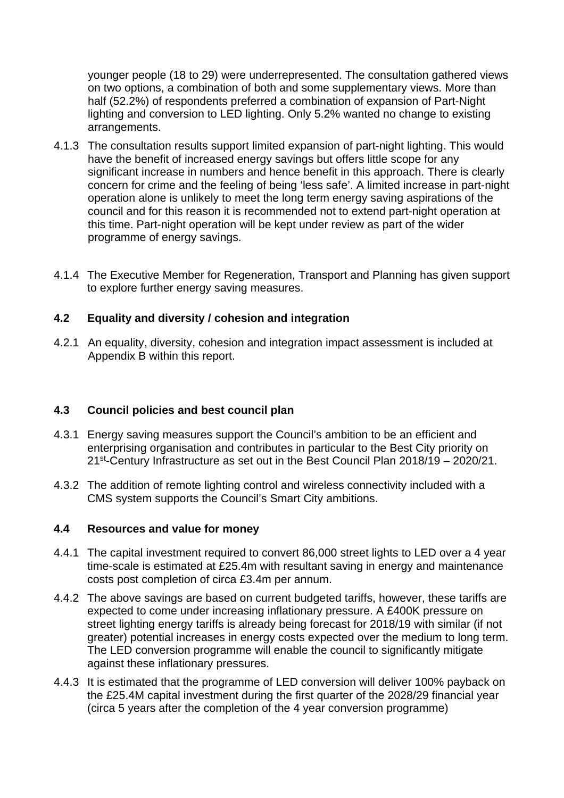younger people (18 to 29) were underrepresented. The consultation gathered views on two options, a combination of both and some supplementary views. More than half (52.2%) of respondents preferred a combination of expansion of Part-Night lighting and conversion to LED lighting. Only 5.2% wanted no change to existing arrangements.

- 4.1.3 The consultation results support limited expansion of part-night lighting. This would have the benefit of increased energy savings but offers little scope for any significant increase in numbers and hence benefit in this approach. There is clearly concern for crime and the feeling of being 'less safe'. A limited increase in part-night operation alone is unlikely to meet the long term energy saving aspirations of the council and for this reason it is recommended not to extend part-night operation at this time. Part-night operation will be kept under review as part of the wider programme of energy savings.
- 4.1.4 The Executive Member for Regeneration, Transport and Planning has given support to explore further energy saving measures.

### **4.2 Equality and diversity / cohesion and integration**

4.2.1 An equality, diversity, cohesion and integration impact assessment is included at Appendix B within this report.

#### **4.3 Council policies and best council plan**

- 4.3.1 Energy saving measures support the Council's ambition to be an efficient and enterprising organisation and contributes in particular to the Best City priority on 21st-Century Infrastructure as set out in the Best Council Plan 2018/19 – 2020/21.
- 4.3.2 The addition of remote lighting control and wireless connectivity included with a CMS system supports the Council's Smart City ambitions.

#### **4.4 Resources and value for money**

- 4.4.1 The capital investment required to convert 86,000 street lights to LED over a 4 year time-scale is estimated at £25.4m with resultant saving in energy and maintenance costs post completion of circa £3.4m per annum.
- 4.4.2 The above savings are based on current budgeted tariffs, however, these tariffs are expected to come under increasing inflationary pressure. A £400K pressure on street lighting energy tariffs is already being forecast for 2018/19 with similar (if not greater) potential increases in energy costs expected over the medium to long term. The LED conversion programme will enable the council to significantly mitigate against these inflationary pressures.
- 4.4.3 It is estimated that the programme of LED conversion will deliver 100% payback on the £25.4M capital investment during the first quarter of the 2028/29 financial year (circa 5 years after the completion of the 4 year conversion programme)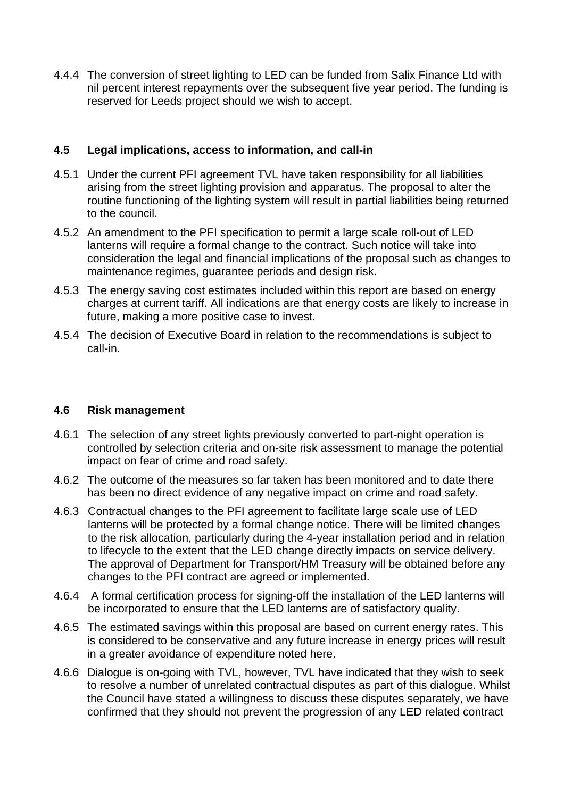4.4.4 The conversion of street lighting to LED can be funded from Salix Finance Ltd with nil percent interest repayments over the subsequent five year period. The funding is reserved for Leeds project should we wish to accept.

#### **4.5 Legal implications, access to information, and call-in**

- 4.5.1 Under the current PFI agreement TVL have taken responsibility for all liabilities arising from the street lighting provision and apparatus. The proposal to alter the routine functioning of the lighting system will result in partial liabilities being returned to the council.
- 4.5.2 An amendment to the PFI specification to permit a large scale roll-out of LED lanterns will require a formal change to the contract. Such notice will take into consideration the legal and financial implications of the proposal such as changes to maintenance regimes, guarantee periods and design risk.
- 4.5.3 The energy saving cost estimates included within this report are based on energy charges at current tariff. All indications are that energy costs are likely to increase in future, making a more positive case to invest.
- 4.5.4 The decision of Executive Board in relation to the recommendations is subject to call-in.

# **4.6 Risk management**

- 4.6.1 The selection of any street lights previously converted to part-night operation is controlled by selection criteria and on-site risk assessment to manage the potential impact on fear of crime and road safety.
- 4.6.2 The outcome of the measures so far taken has been monitored and to date there has been no direct evidence of any negative impact on crime and road safety.
- 4.6.3 Contractual changes to the PFI agreement to facilitate large scale use of LED lanterns will be protected by a formal change notice. There will be limited changes to the risk allocation, particularly during the 4-year installation period and in relation to lifecycle to the extent that the LED change directly impacts on service delivery. The approval of Department for Transport/HM Treasury will be obtained before any changes to the PFI contract are agreed or implemented.
- 4.6.4 A formal certification process for signing-off the installation of the LED lanterns will be incorporated to ensure that the LED lanterns are of satisfactory quality.
- 4.6.5 The estimated savings within this proposal are based on current energy rates. This is considered to be conservative and any future increase in energy prices will result in a greater avoidance of expenditure noted here.
- 4.6.6 Dialogue is on-going with TVL, however, TVL have indicated that they wish to seek to resolve a number of unrelated contractual disputes as part of this dialogue. Whilst the Council have stated a willingness to discuss these disputes separately, we have confirmed that they should not prevent the progression of any LED related contract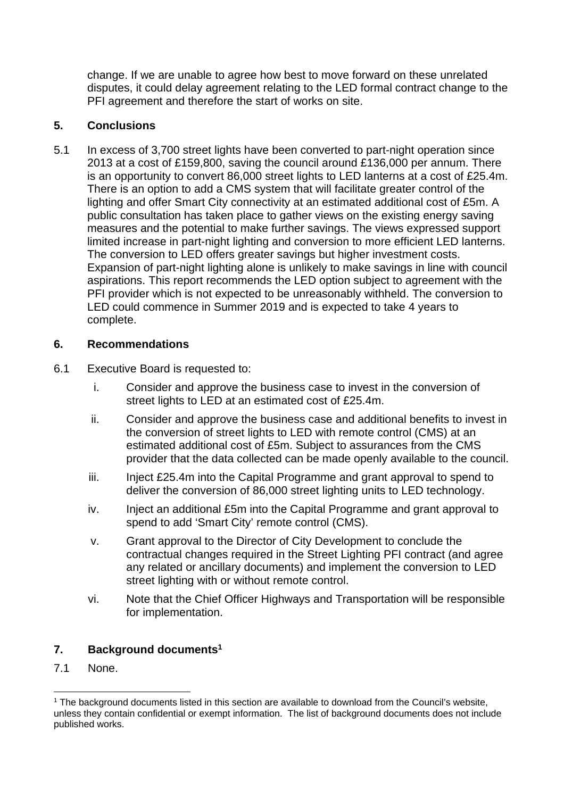change. If we are unable to agree how best to move forward on these unrelated disputes, it could delay agreement relating to the LED formal contract change to the PFI agreement and therefore the start of works on site.

# **5. Conclusions**

5.1 In excess of 3,700 street lights have been converted to part-night operation since 2013 at a cost of £159,800, saving the council around £136,000 per annum. There is an opportunity to convert 86,000 street lights to LED lanterns at a cost of £25.4m. There is an option to add a CMS system that will facilitate greater control of the lighting and offer Smart City connectivity at an estimated additional cost of £5m. A public consultation has taken place to gather views on the existing energy saving measures and the potential to make further savings. The views expressed support limited increase in part-night lighting and conversion to more efficient LED lanterns. The conversion to LED offers greater savings but higher investment costs. Expansion of part-night lighting alone is unlikely to make savings in line with council aspirations. This report recommends the LED option subject to agreement with the PFI provider which is not expected to be unreasonably withheld. The conversion to LED could commence in Summer 2019 and is expected to take 4 years to complete.

### **6. Recommendations**

- 6.1 Executive Board is requested to:
	- i. Consider and approve the business case to invest in the conversion of street lights to LED at an estimated cost of £25.4m.
	- ii. Consider and approve the business case and additional benefits to invest in the conversion of street lights to LED with remote control (CMS) at an estimated additional cost of £5m. Subject to assurances from the CMS provider that the data collected can be made openly available to the council.
	- iii. Inject £25.4m into the Capital Programme and grant approval to spend to deliver the conversion of 86,000 street lighting units to LED technology.
	- iv. Inject an additional £5m into the Capital Programme and grant approval to spend to add 'Smart City' remote control (CMS).
	- v. Grant approval to the Director of City Development to conclude the contractual changes required in the Street Lighting PFI contract (and agree any related or ancillary documents) and implement the conversion to LED street lighting with or without remote control.
	- vi. Note that the Chief Officer Highways and Transportation will be responsible for implementation.

# **7. Background documents1**

7.1 None.

l  $1$  The background documents listed in this section are available to download from the Council's website, unless they contain confidential or exempt information. The list of background documents does not include published works.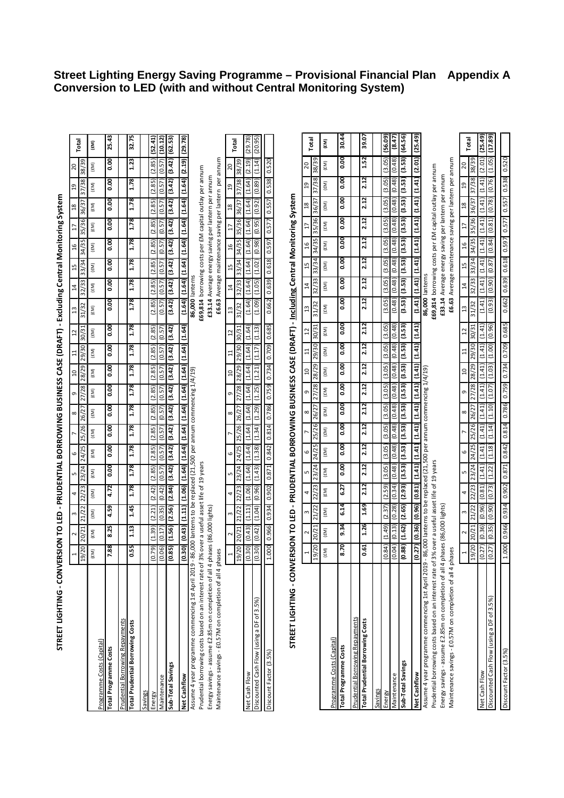| STREET LIGHTING - CONVERSION TO LED                                                                                                                                             |                             |                 |                 |                 |                 |               |                                     |                                     |                                                                     |                                     |                            |                                     | - PRUDENTIAL BORROWING BUSINESS CASE (DRAFT) - Excluding Central Monitoring System |                         |                          |                                                                                                               |                 |                 |               |         |
|---------------------------------------------------------------------------------------------------------------------------------------------------------------------------------|-----------------------------|-----------------|-----------------|-----------------|-----------------|---------------|-------------------------------------|-------------------------------------|---------------------------------------------------------------------|-------------------------------------|----------------------------|-------------------------------------|------------------------------------------------------------------------------------|-------------------------|--------------------------|---------------------------------------------------------------------------------------------------------------|-----------------|-----------------|---------------|---------|
|                                                                                                                                                                                 |                             |                 |                 |                 |                 |               |                                     |                                     |                                                                     |                                     |                            |                                     |                                                                                    |                         |                          |                                                                                                               |                 | פ               | 20            |         |
|                                                                                                                                                                                 | $^{20}$<br>$\overline{19}$  | 20/21           | 21/22           | 22/23           | 23/24           | 24/25         | 25/26                               | 26/27                               | 28/29<br>27/28                                                      | 29/30                               | 30/31                      | 31/32                               | 32/                                                                                | 33/34<br>33             | 34/35                    | 35/36                                                                                                         | 36/37           | 37/38           | 38/39         | Total   |
| Programme Costs (Capital)                                                                                                                                                       | f(N)                        | (£M)            | $(\mathrm{EM})$ | $(\mathrm{fM})$ | $(\mathrm{fM})$ | $(\text{EM})$ | $(\text{\ensuremath{\mathsf{EM}}})$ | $(\text{\ensuremath{\mathsf{EM}}})$ | $(\mathrm{fM})$<br>$(\mathrm{fM})$                                  | $(\text{\ensuremath{\mathsf{EM}}})$ | $\left( \text{EM} \right)$ | $(\text{\ensuremath{\mathsf{EM}}})$ | $(\mathrm{fM})$                                                                    | $(\text{EM})$           | $(\text{EM})$            | (£M)                                                                                                          | $(\mathrm{fM})$ | $(\mathrm{EM})$ | f(N)          | (EM)    |
| <b>Total Programme Costs</b>                                                                                                                                                    | .88                         | 8.25            | 4.59            | 4.72            | 0.00            | 0.00          | $\overline{0.00}$                   | 0.00                                | 8.00                                                                | 8.00                                | 0.00<br>8.00               |                                     | 8.00                                                                               | 8.00<br>0.00            | 0.00                     | 8.00                                                                                                          | 8.00            | 0.00            | 8.00          | 25.43   |
| <b>Prudential Borrowing Repayments</b>                                                                                                                                          |                             |                 |                 |                 |                 |               |                                     |                                     |                                                                     |                                     |                            |                                     |                                                                                    |                         |                          |                                                                                                               |                 |                 |               |         |
| <b>Total Prudential Borrowing Costs</b>                                                                                                                                         | .55                         | $\frac{13}{2}$  | 1.45            | 1.78            | 1.78            | 1.78          | 1.78                                | 1.78                                | 1.78                                                                | 1.78                                | 1.78<br>1.78               |                                     | 1.78                                                                               | 1.78<br>1.78            | 1.78                     | 1.78                                                                                                          | 1.78            | 1.78            | 1.23          | 32.75   |
| Savings                                                                                                                                                                         |                             |                 |                 |                 |                 |               |                                     |                                     |                                                                     |                                     |                            |                                     |                                                                                    |                         |                          |                                                                                                               |                 |                 |               |         |
| Energy                                                                                                                                                                          | 79)<br>s                    | (1.39)          | (2.21)          | (2.42)          | (2.85)          | (2.85)        | (2.85)                              | (2.85)                              | (2.85)<br>(2.85)                                                    | (2.85)                              | (2.85)                     |                                     | (2.85)<br>(2.85)                                                                   | (2.85)                  | (2.85)                   | (2.85)                                                                                                        | (2.85)          | (2.85)          | (2.85)        | (52.41) |
| Maintenance                                                                                                                                                                     | 06)<br>o,                   | (0.17)          | (0.35)          | (0.42)          | (0.57)          | (0.57)        | (0.57)                              | (0.57)                              | (0.57)<br>(0.57)                                                    | (0.57)                              | (0.57)                     |                                     | (0.57)<br>(0.57)                                                                   | (0.57)                  | (0.57)                   | (0.57)                                                                                                        | (0.57)          | (0.57)          | (0.57)        | (10.12) |
| Sub-Total Savings                                                                                                                                                               | $\overline{35}$<br><u>o</u> | (1.56)          | (2.56)          | (2.84)          | (3.42)          | (3.42)        | (3.42)                              | (3.42)                              | (3.42)<br>(3.42)                                                    | (3.42)                              | (3.42)                     |                                     | (3.42)<br>(3.42)                                                                   | (3.42)                  | (3.42)                   | (3.42)                                                                                                        | (3.42)          | (3.42)          | (3.42)        | (62.53) |
| Net Cashflow                                                                                                                                                                    | 30)<br>ġ                    | (0.43)          | (1.11)          | (1.06)          | (1.64)          | (1.64)        | (1.64)                              | (1.64)                              | (1.64)<br>(1.64)                                                    | (1.64)                              | (1.64)                     |                                     | (1.64)                                                                             | (1.64)<br>(1.64)        |                          | $(1.64)$ $(1.64)$                                                                                             | (1.64)          | (1.64)          | (2.19)        | (29.78) |
| Prudential borrowing costs based on an interest rate of 3% over a useful asset life of 19 years<br>Assume 4 year programme commencing 1st April 2019 - 86,000 lanterns to be    |                             |                 |                 |                 |                 |               |                                     |                                     | replaced (21,500 per annum commencing 1/4/19)                       |                                     |                            |                                     | 86,000 lanterns                                                                    |                         |                          | £69,814 borrowing costs per £M capital outlay per annum                                                       |                 |                 |               |         |
| Energy savings - assume £2.85m on completion of all 4 phases (86,000 lights)<br>Maintenance savings - £0.57M on completion of all 4 phases                                      |                             |                 |                 |                 |                 |               |                                     |                                     |                                                                     |                                     |                            |                                     | £33.14                                                                             |                         |                          | £6.63 Average maintenance saving per lantern per annum<br>Average energy saving per lantern per annum         |                 |                 |               |         |
|                                                                                                                                                                                 |                             |                 | 3               | 4               | 5               | 0             |                                     | ∞                                   | $\overline{a}$<br>o                                                 | $\Xi$                               | $^{12}$                    | $\mathfrak{a}$                      |                                                                                    | 15                      |                          |                                                                                                               |                 |                 | 20            |         |
|                                                                                                                                                                                 | $^{120}$<br>19)             | 20/21           | 21/22           | 22/23           | 23/24           | 24/25         | 25/26                               | 26/27                               | 28/29<br>27/28                                                      | 29/30                               | 30/31                      | 31/32                               | 32/33                                                                              | 33/34                   | 34/35                    | 35/36                                                                                                         | 36/37           | 37/38           | 38/39         | Total   |
| Net Cash Flow                                                                                                                                                                   | 30)<br>S                    | (0.43)          | (1.11)          | (1.06)          | (1.64)          | (1.64)        | (1.64)                              | (1.64)                              | (1.64)<br>(1.64)                                                    | (1.64)                              | (1.64)                     |                                     | (1.64)<br>(1.64)                                                                   | (1.64)                  | (1.64)                   | (1.64)                                                                                                        | (1.64)          | (1.64)          | (2.19)        | (29.78) |
| Discounted Cash Flow (using a DF of 3.5%)                                                                                                                                       | 30)<br>ē,                   | (0.42)          | (1.04)          | (0.96)          | (1.43)          | (1.38)        | (1.34)                              | (1.29)                              | ਦੰ<br>(1.25)                                                        | (1.17)<br>(1)                       | (1.13)                     |                                     | (1.05)<br>(60.1)                                                                   | (1.02)                  | (0.98)                   | (0.95)                                                                                                        | (0.92)          | (0.89)          | (1.14)        | (20.95) |
| Discount Factor (3.5%)                                                                                                                                                          | 80<br>$\dot{ }$             | 0.966           | 0.934           | 0.902           | 0.871           | 0.842         | 0.814                               | 0.786                               | 0.734<br>0.759                                                      | 0.709                               | 0.685                      |                                     | 0.662                                                                              | 0.618<br>0.639          | 0.597                    | 0.577                                                                                                         | 0.557           | 0.538           | 0.520         |         |
| STREET LIGHTING - CONVERSION TO LED - PRUDENTIAL BORROWING BUSINESS CASE (DRAFT) - <u>Including</u> Central Monitoring System                                                   |                             |                 |                 |                 |                 |               |                                     |                                     |                                                                     |                                     |                            |                                     |                                                                                    |                         |                          |                                                                                                               |                 |                 |               |         |
|                                                                                                                                                                                 |                             |                 |                 |                 |                 | 6             |                                     | 8                                   | $\overline{a}$                                                      |                                     |                            |                                     |                                                                                    | 15<br>$\overline{1}$    | $\frac{6}{1}$            |                                                                                                               | 28              | $\frac{9}{2}$   | 20            |         |
|                                                                                                                                                                                 | $^{120}$<br>$\frac{9}{2}$   | 20/21           | 21/22           | 22/23           | 23/24           | 24/25         | 25/26                               | 26/27                               | 28/29<br>27/28                                                      | 29/30                               | 30/31                      |                                     | 31/32                                                                              | 33/34<br>32/33          | 34/35                    | 35/36                                                                                                         | 36/37           | 37/38           | 38/39         | Total   |
| Programme Costs (Capital)                                                                                                                                                       | £M)                         | $(\mathrm{EM})$ | (£M)            | $(\text{EM})$   | (£M)            | f(N)          | (FM)                                | (EM)                                | $(\text{EM})$<br>(£M)                                               | f(M)                                | $(\mathrm{EM})$            |                                     | f(M)                                                                               | f(M)<br>$(\mathrm{EM})$ | $(\text{EM})$            | (FM)                                                                                                          | $(\text{EM})$   | (£M)            | $(\text{EM})$ | (£M)    |
| Total Programme Costs                                                                                                                                                           | 8.70                        | 9.34            | 6.14            | 6.27            | 8.00            | 8.00          | 8.00                                | 0.00                                | 8.00                                                                | 0.00                                | 8<br>0.0                   | 8<br>0.0                            | 8<br>0.0                                                                           | 0.00                    | 0.00<br>8<br>0.0         | 8.00                                                                                                          | 8.00            | $\frac{8}{10}$  | 8<br>0.0      | 30.44   |
| <b>Prudential Borrowing Repayments</b>                                                                                                                                          |                             |                 |                 |                 |                 |               |                                     |                                     |                                                                     |                                     |                            |                                     |                                                                                    |                         |                          |                                                                                                               |                 |                 |               |         |
| <b>Total Prudential Borrowing Costs</b>                                                                                                                                         | 0.61                        | 1.26            | 1.69            | 2.12            | 2.12            | 2.12          | 2.12                                | 2.12                                | 2.12                                                                | 2.12                                | 2.12                       | 2.12                                | 2.12                                                                               | 2.12                    | 2.12<br>2.12             | 2.12                                                                                                          | 2.12            | 2.12            | 1.52          | 39.07   |
| Savings                                                                                                                                                                         |                             |                 |                 |                 |                 |               |                                     |                                     |                                                                     |                                     |                            |                                     |                                                                                    |                         |                          |                                                                                                               |                 |                 |               |         |
| Energy                                                                                                                                                                          | .84)                        | (1.49)          | (2.37)          | (2.59)          | (3.05)          | (3.05)        | (3.05)                              | (3.05)                              | (3.05)<br>(3.05)                                                    |                                     | (3.05)<br>(3.05)           |                                     | (3.05)                                                                             | (3.05)<br>(3.05)        | (3.05)                   | (3.05)                                                                                                        | (3.05)          | (3.05)          | (3.05)        | (56.09) |
| Maintenance                                                                                                                                                                     | 0.04)<br>₽                  | (0.13)          | (0.28)          | (0.34)          | (0.48)          | (0.48)        | (0.48)                              | (0.48)                              | (0.48)<br>(0.48)                                                    |                                     | (0.48)<br>(0.48)           |                                     | (0.48)                                                                             | (0.48)<br>(0.48)        | (0.48)                   | (0.48)                                                                                                        | (0.48)          | (0.48)          | (0.48)        | (8.47)  |
| Sub-Total Savings                                                                                                                                                               | $(s_8$<br>ೆ                 | (1.62)          | (2.65)          | (2.93)          | (3.53)          | (5.5)         | (3.53)                              | (3.53)                              | (£5.5)                                                              | (3.53)                              | (3.53)<br>(£5.5)           |                                     | (3.53)                                                                             | (3.53)<br>(3.53)        | (3.53)                   | (5.5)                                                                                                         | (3.53)          | (3.53)          | (3.53)        | (64.56) |
| Net Cashflow                                                                                                                                                                    | ₽,                          | 27) (0.36)      | (0.96)          | (0.81)          | (1.41)          | (1.41)        | (1.41)                              | (1.41)                              | (1.41)                                                              | (1.41)                              | (1.41)<br>(1.41)           |                                     | (1.41)                                                                             |                         |                          | (1.41) (1.41) (1.41) (1.41) (1.41) (1.41)                                                                     |                 |                 | (2.01)        | (25.49) |
| Assume 4 year programme commencing 1st April 2019 - 8                                                                                                                           |                             |                 |                 |                 |                 |               |                                     |                                     | 36,000 lanterns to be replaced (21,500 per annum commencing 1/4/19) |                                     |                            |                                     | 86,000 lanterns                                                                    |                         |                          |                                                                                                               |                 |                 |               |         |
| Prudential borrowing costs based on an interest rate of 3% over a useful asset life of 19 years<br>Energy savings - assume £2.85m on completion of all 4 phases (86,000 lights) |                             |                 |                 |                 |                 |               |                                     |                                     |                                                                     |                                     |                            |                                     |                                                                                    |                         |                          | £69,814 borrowing costs per £M capital outlay per annum<br>£33.14 Average energy saving per lantern per annum |                 |                 |               |         |
| Maintenance savings - £0.57M on completion of all 4 phases                                                                                                                      |                             |                 |                 |                 |                 |               |                                     |                                     |                                                                     |                                     |                            |                                     | £6.63                                                                              |                         |                          | Average maintenance saving per lantern per annum                                                              |                 |                 |               |         |
|                                                                                                                                                                                 |                             |                 | m               | 4               | ш٦              | 6             |                                     | $^{\circ}$                          | $\overline{10}$<br>G                                                |                                     |                            |                                     | $\frac{3}{2}$                                                                      | 45<br>$\overline{1}$    | 16                       | $\overline{17}$                                                                                               | $\frac{8}{16}$  | $^{29}$         | 20            | Total   |
|                                                                                                                                                                                 | 1/20<br>$^{5}$              | 20/21           | 21/22           | 22/23           | 23/24           | 24/25         | 25/26                               | 26/27                               | 28/29<br>27/28                                                      |                                     | 30/31<br>29/30             |                                     | 31/32                                                                              | 33/34<br>32/33          | 34/35                    | 35/36                                                                                                         | 36/37           | 37/38           | 65/88         |         |
| Net Cash Flow                                                                                                                                                                   | 27)<br>ల                    | (0.36)          | (0.96)          | (0.81)          | (1.41)          | (1.41)        | (1.41)                              | (1.41)                              | (1.41)                                                              | (1.41)                              | (1.41)<br>(1.41)           |                                     | (1.41)                                                                             | (1.41)<br>(1.41)        | (0.84)<br>(1.41)         | (1.41)                                                                                                        | (1.41)          | (1.41)          | (2.01)        | (25.49) |
| Discounted Cash Flow (using a DF of 3.5%)                                                                                                                                       | (27)                        | (0.35)          | (0.90)          | (0.73)          | (1.22)          | (1.18)        | (1.14)                              | (1.10)                              | (1.03)<br>(1.07)                                                    |                                     | (0.96)<br>(1.00)           |                                     | (0.93)                                                                             | (0.87)<br>(0.90)        |                          | (0.81)                                                                                                        | (0.78)          | (0.76)          | (1.05)        | (17.89) |
| Discount Factor (3.5%)                                                                                                                                                          | 000                         | 9960            | 0.934           | 0.902           | 0.871           | 0.842         | 0.814                               | 0.786                               | 652'0                                                               | 0.734                               | <b>G89</b><br>0.709        |                                     | 0.662                                                                              | 0.639 0.618             | <b>L6S</b> <sup>10</sup> | 0.577                                                                                                         | 0.557           | 0.538           | 0.520         |         |

# **Street Lighting Energy Saving Programme – Provisional Financial Plan Appendix A Conversion to LED (with and without Central Monitoring System)**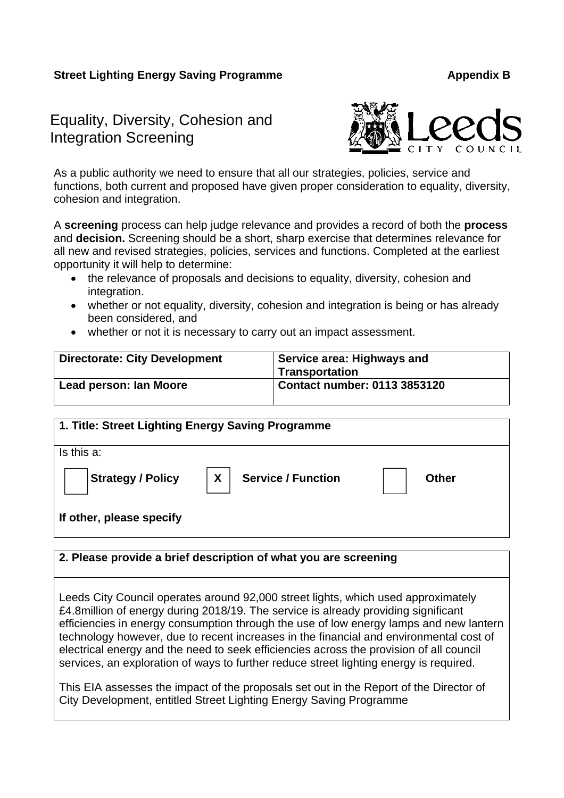# Equality, Diversity, Cohesion and Integration Screening



As a public authority we need to ensure that all our strategies, policies, service and functions, both current and proposed have given proper consideration to equality, diversity, cohesion and integration.

A **screening** process can help judge relevance and provides a record of both the **process** and **decision.** Screening should be a short, sharp exercise that determines relevance for all new and revised strategies, policies, services and functions. Completed at the earliest opportunity it will help to determine:

- the relevance of proposals and decisions to equality, diversity, cohesion and integration.
- whether or not equality, diversity, cohesion and integration is being or has already been considered, and
- whether or not it is necessary to carry out an impact assessment.

| <b>Directorate: City Development</b> | Service area: Highways and<br>' Transportation |
|--------------------------------------|------------------------------------------------|
| Lead person: Ian Moore               | Contact number: 0113 3853120                   |

| 1. Title: Street Lighting Energy Saving Programme |                                               |              |
|---------------------------------------------------|-----------------------------------------------|--------------|
| Is this a:                                        |                                               |              |
| <b>Strategy / Policy</b>                          | $\boldsymbol{X}$<br><b>Service / Function</b> | <b>Other</b> |
| If other, please specify                          |                                               |              |

#### **2. Please provide a brief description of what you are screening**

Leeds City Council operates around 92,000 street lights, which used approximately £4.8million of energy during 2018/19. The service is already providing significant efficiencies in energy consumption through the use of low energy lamps and new lantern technology however, due to recent increases in the financial and environmental cost of electrical energy and the need to seek efficiencies across the provision of all council services, an exploration of ways to further reduce street lighting energy is required.

This EIA assesses the impact of the proposals set out in the Report of the Director of City Development, entitled Street Lighting Energy Saving Programme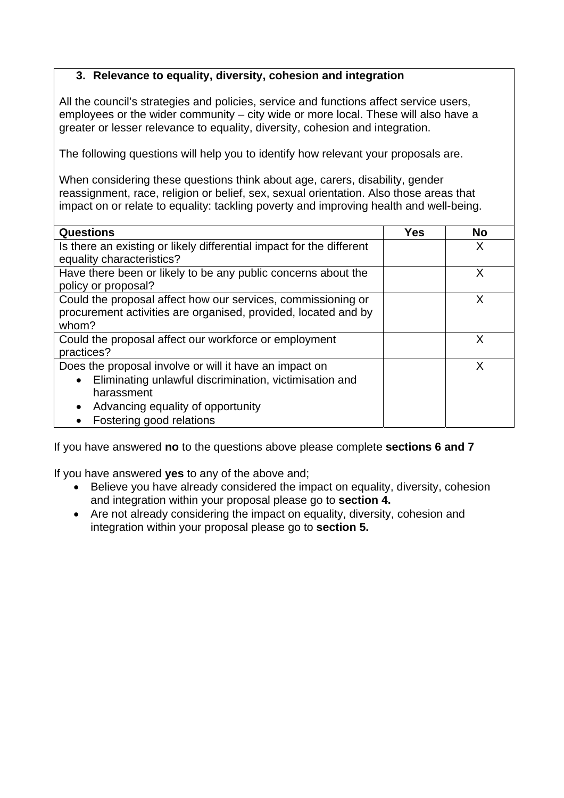# **3. Relevance to equality, diversity, cohesion and integration**

All the council's strategies and policies, service and functions affect service users, employees or the wider community – city wide or more local. These will also have a greater or lesser relevance to equality, diversity, cohesion and integration.

The following questions will help you to identify how relevant your proposals are.

When considering these questions think about age, carers, disability, gender reassignment, race, religion or belief, sex, sexual orientation. Also those areas that impact on or relate to equality: tackling poverty and improving health and well-being.

| <b>Questions</b>                                                                                                                        | <b>Yes</b> | <b>No</b> |
|-----------------------------------------------------------------------------------------------------------------------------------------|------------|-----------|
| Is there an existing or likely differential impact for the different                                                                    |            | X         |
| equality characteristics?                                                                                                               |            |           |
| Have there been or likely to be any public concerns about the<br>policy or proposal?                                                    |            |           |
| Could the proposal affect how our services, commissioning or<br>procurement activities are organised, provided, located and by<br>whom? |            |           |
| Could the proposal affect our workforce or employment<br>practices?                                                                     |            | x         |
| Does the proposal involve or will it have an impact on                                                                                  |            | x         |
| Eliminating unlawful discrimination, victimisation and                                                                                  |            |           |
| harassment                                                                                                                              |            |           |
| Advancing equality of opportunity                                                                                                       |            |           |
| Fostering good relations                                                                                                                |            |           |

If you have answered **no** to the questions above please complete **sections 6 and 7**

If you have answered **yes** to any of the above and;

- Believe you have already considered the impact on equality, diversity, cohesion and integration within your proposal please go to **section 4.**
- Are not already considering the impact on equality, diversity, cohesion and integration within your proposal please go to **section 5.**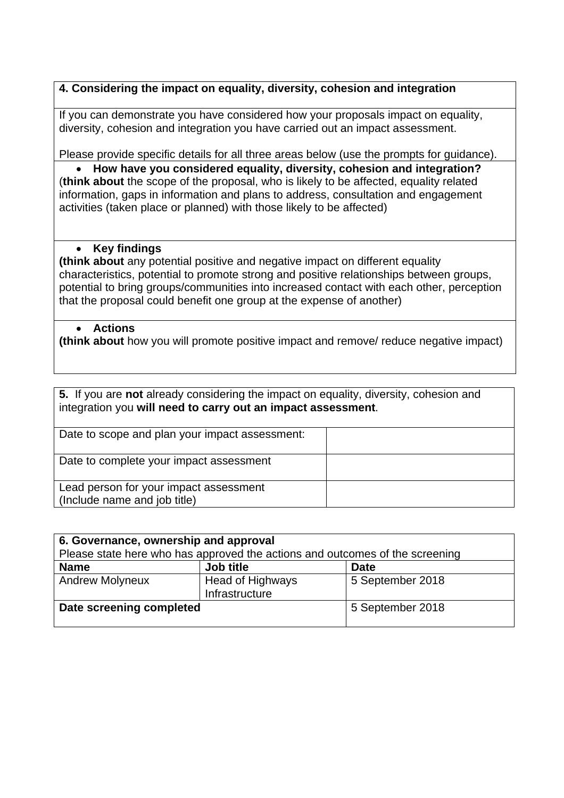# **4. Considering the impact on equality, diversity, cohesion and integration**

If you can demonstrate you have considered how your proposals impact on equality, diversity, cohesion and integration you have carried out an impact assessment.

Please provide specific details for all three areas below (use the prompts for guidance).

 **How have you considered equality, diversity, cohesion and integration?**  (**think about** the scope of the proposal, who is likely to be affected, equality related information, gaps in information and plans to address, consultation and engagement activities (taken place or planned) with those likely to be affected)

#### **Key findings**

**(think about** any potential positive and negative impact on different equality characteristics, potential to promote strong and positive relationships between groups, potential to bring groups/communities into increased contact with each other, perception that the proposal could benefit one group at the expense of another)

#### **Actions**

**(think about** how you will promote positive impact and remove/ reduce negative impact)

| 5. If you are not already considering the impact on equality, diversity, cohesion and<br>integration you will need to carry out an impact assessment. |  |  |
|-------------------------------------------------------------------------------------------------------------------------------------------------------|--|--|
| Date to scope and plan your impact assessment:                                                                                                        |  |  |
| Date to complete your impact assessment                                                                                                               |  |  |
| Lead person for your impact assessment<br>(Include name and job title)                                                                                |  |  |

| 6. Governance, ownership and approval |                                                                              |                  |
|---------------------------------------|------------------------------------------------------------------------------|------------------|
|                                       | Please state here who has approved the actions and outcomes of the screening |                  |
| <b>Name</b>                           | Job title                                                                    | <b>Date</b>      |
| <b>Andrew Molyneux</b>                | <b>Head of Highways</b><br>Infrastructure                                    | 5 September 2018 |
| Date screening completed              |                                                                              | 5 September 2018 |